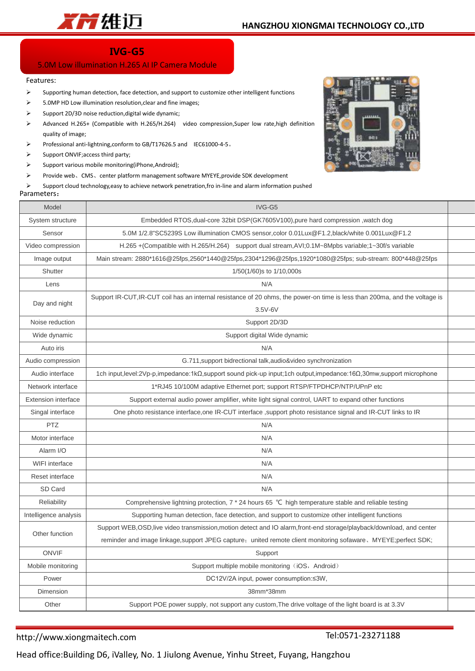

# **IVG-G5**

## 5.0M Low illumination H.265 AI IP Camera Module

#### Features:

- $\triangleright$  Supporting human detection, face detection, and support to customize other intelligent functions
- $\geq$  5.0MP HD Low illumination resolution, clear and fine images;
- $\triangleright$  Support 2D/3D noise reduction, digital wide dynamic;
- Advanced H.265+ (Compatible with H.265/H.264) video compression,Super low rate,high definition quality of image;
- Professional anti-lightning,conform to GB/T17626.5 and IEC61000-4-5。
- $\triangleright$  Support ONVIII
- $\triangleright$  Support various
- ▶ Provide web、

### Parameters:

| ⋗<br>➤<br>⋗<br>⋗<br>➤<br>'arameters: | Professional anti-lightning,conform to GB/11/626.5 and IEC61000-4-5.<br>Support ONVIF; access third party;<br>Support various mobile monitoring(iPhone, Android);<br>Provide web, CMS, center platform management software MYEYE, provide SDK development<br>Support cloud technology, easy to achieve network penetration, fro in-line and alarm information pushed |  |  |  |
|--------------------------------------|----------------------------------------------------------------------------------------------------------------------------------------------------------------------------------------------------------------------------------------------------------------------------------------------------------------------------------------------------------------------|--|--|--|
| Model                                | IVG-G5                                                                                                                                                                                                                                                                                                                                                               |  |  |  |
| System structure                     | Embedded RTOS, dual-core 32bit DSP(GK7605V100), pure hard compression, watch dog                                                                                                                                                                                                                                                                                     |  |  |  |
| Sensor                               | 5.0M 1/2.8"SC5239S Low illumination CMOS sensor, color 0.01Lux@F1.2, black/white 0.001Lux@F1.2                                                                                                                                                                                                                                                                       |  |  |  |
| Video compression                    | H.265 + (Compatible with H.265/H.264) support dual stream, AVI; 0.1M~8Mpbs variable; 1~30f/s variable                                                                                                                                                                                                                                                                |  |  |  |
| Image output                         | Main stream: 2880*1616@25fps,2560*1440@25fps,2304*1296@25fps,1920*1080@25fps; sub-stream: 800*448@25fps                                                                                                                                                                                                                                                              |  |  |  |
| Shutter                              | 1/50(1/60)s to 1/10,000s                                                                                                                                                                                                                                                                                                                                             |  |  |  |
| Lens                                 | N/A                                                                                                                                                                                                                                                                                                                                                                  |  |  |  |
| Day and night                        | Support IR-CUT, IR-CUT coil has an internal resistance of 20 ohms, the power-on time is less than 200ma, and the voltage is<br>$3.5V-6V$                                                                                                                                                                                                                             |  |  |  |
| Noise reduction                      | Support 2D/3D                                                                                                                                                                                                                                                                                                                                                        |  |  |  |
| Wide dynamic                         | Support digital Wide dynamic                                                                                                                                                                                                                                                                                                                                         |  |  |  |
| Auto iris                            | N/A                                                                                                                                                                                                                                                                                                                                                                  |  |  |  |
| Audio compression                    | G.711, support bidrectional talk, audio&video synchronization                                                                                                                                                                                                                                                                                                        |  |  |  |
| Audio interface                      | 1ch input,level:2Vp-p,impedance:1kΩ,support sound pick-up input;1ch output,impedance:16Ω,30mw,support microphone                                                                                                                                                                                                                                                     |  |  |  |
| Network interface                    | 1*RJ45 10/100M adaptive Ethernet port; support RTSP/FTPDHCP/NTP/UPnP etc                                                                                                                                                                                                                                                                                             |  |  |  |
| <b>Extension interface</b>           | Support external audio power amplifier, white light signal control, UART to expand other functions                                                                                                                                                                                                                                                                   |  |  |  |
| Singal interface                     | One photo resistance interface, one IR-CUT interface , support photo resistance signal and IR-CUT links to IR                                                                                                                                                                                                                                                        |  |  |  |
| <b>PTZ</b>                           | N/A                                                                                                                                                                                                                                                                                                                                                                  |  |  |  |
| Motor interface                      | N/A                                                                                                                                                                                                                                                                                                                                                                  |  |  |  |
| Alarm I/O                            | N/A                                                                                                                                                                                                                                                                                                                                                                  |  |  |  |
| <b>WIFI</b> interface                | N/A                                                                                                                                                                                                                                                                                                                                                                  |  |  |  |
| Reset interface                      | N/A                                                                                                                                                                                                                                                                                                                                                                  |  |  |  |
| SD Card                              | N/A                                                                                                                                                                                                                                                                                                                                                                  |  |  |  |
| Reliability                          | Comprehensive lightning protection, 7 * 24 hours 65 ℃ high temperature stable and reliable testing                                                                                                                                                                                                                                                                   |  |  |  |
| Intelligence analysis                | Supporting human detection, face detection, and support to customize other intelligent functions                                                                                                                                                                                                                                                                     |  |  |  |
| $Q_{\text{th}}$ as function          | Support WEB, OSD, live video transmission, motion detect and IO alarm, front-end storage/playback/download, and center                                                                                                                                                                                                                                               |  |  |  |

Other function reminder and image linkage,support JPEG capture; united remote client monitoring sofaware、MYEYE;perfect SDK; ONVIF POST CONVINCE IN THE SUPPORT OF THE SUPPORT OF THE SUPPORT OF THE SUPPORT OF THE SUPPORT OF THE SUPPORT

| Mobile monitoring | Support multiple mobile monitoring (iOS, Android)                                                 |  |  |
|-------------------|---------------------------------------------------------------------------------------------------|--|--|
| Power             | DC12V/2A input, power consumption: ≤3W,                                                           |  |  |
| <b>Dimension</b>  | 38mm*38mm                                                                                         |  |  |
| Other             | Support POE power supply, not support any custom, The drive voltage of the light board is at 3.3V |  |  |

### http://www.xiongmaitech.com

Tel:0571-23271188

Head office:Building D6, iValley, No. 1 Jiulong Avenue, Yinhu Street, Fuyang, Hangzhou